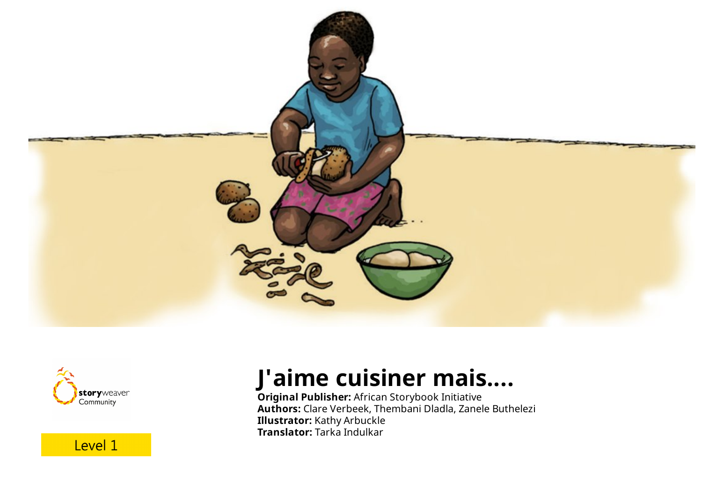





### **J'aime cuisiner mais....**

**Original Publisher:** African Storybook Initiative **Authors:** Clare Verbeek, Thembani Dladla, Zanele Buthelezi **Illustrator:** Kathy Arbuckle **Translator:** Tarka Indulkar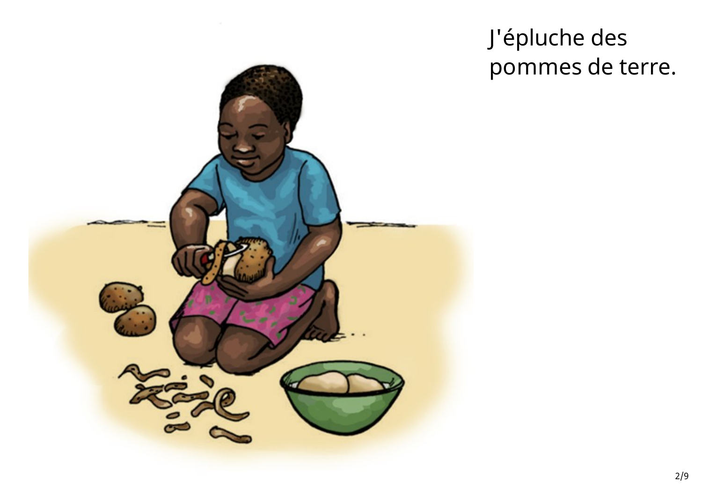

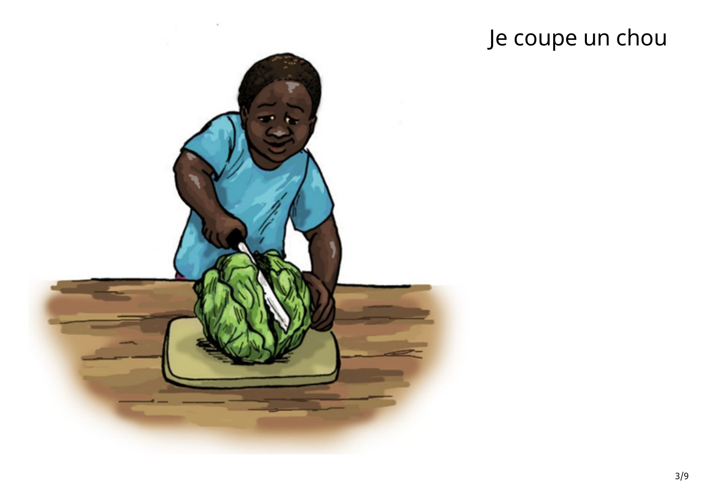# Je coupe un chou

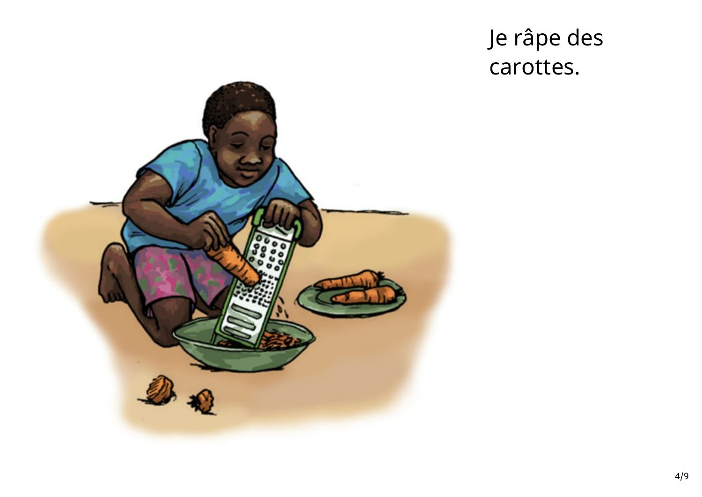### Je râpe des carottes.

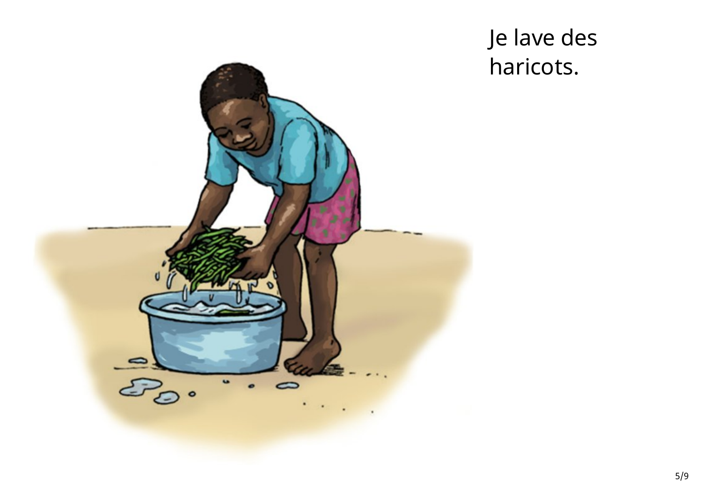

### Je lave des haricots.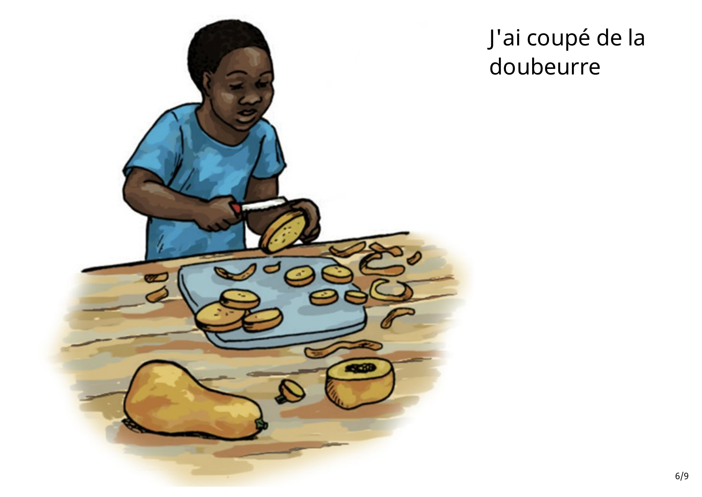

# J'ai coupé de la doubeurre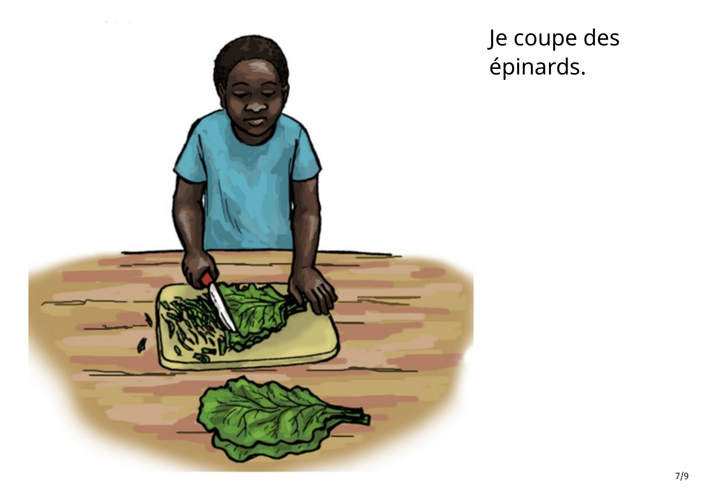

Je coupe des épinards.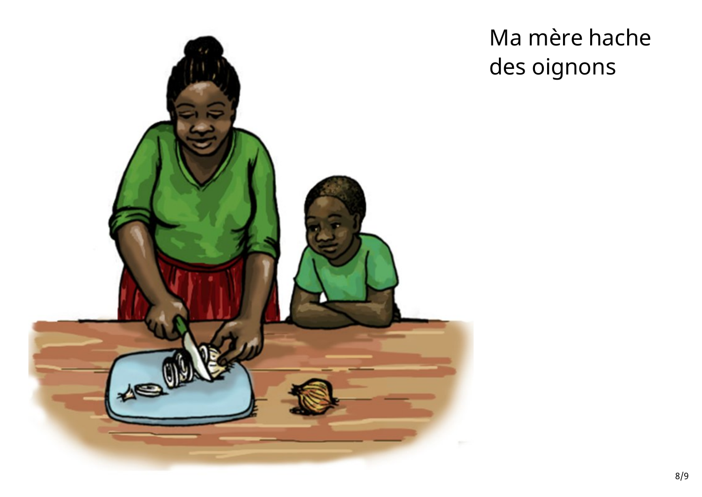

# Ma mère hache des oignons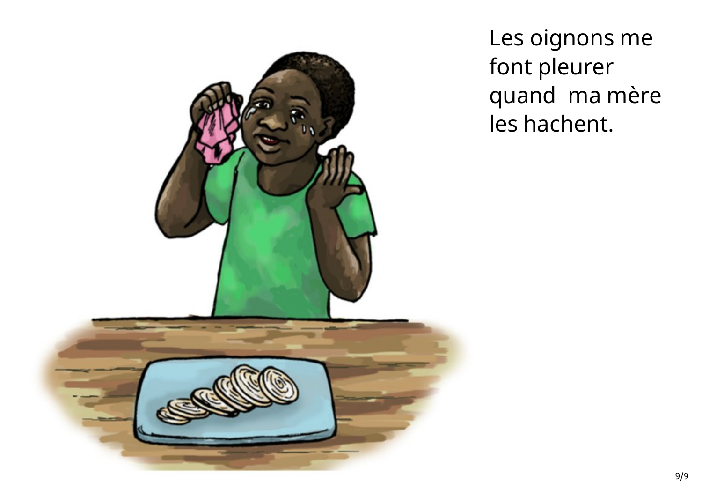

Les oignons me font pleurer quand ma mère les hachent.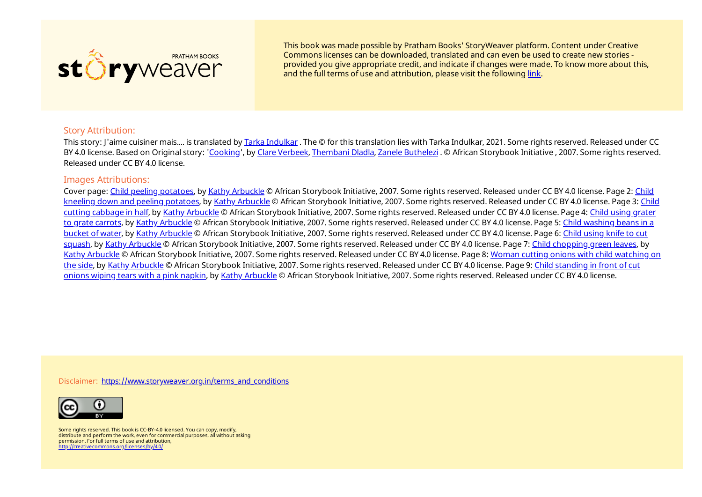

This book was made possible by Pratham Books' StoryWeaver platform. Content under Creative Commons licenses can be downloaded, translated and can even be used to create new stories provided you give appropriate credit, and indicate if changes were made. To know more about this, and the full terms of use and attribution, please visit the following [link](https://storyweaver.org.in/terms_and_conditions).

#### Story Attribution:

This story: J'aime cuisiner mais.... is translated by Tarka [Indulkar](https://storyweaver.org.in/users/217957-tarka-indulkar) . The © for this translation lies with Tarka Indulkar, 2021. Some rights reserved. Released under CC BY 4.0 license. Based on Original story: '[Cooking](https://storyweaver.org.in/stories/237100-cooking)', by Clare [Verbeek](https://storyweaver.org.in/users/16169-clare-verbeek), [Thembani](https://storyweaver.org.in/users/16170-thembani-dladla) Dladla, Zanele [Buthelezi](https://storyweaver.org.in/users/16171-zanele-buthelezi) . © African Storybook Initiative , 2007. Some rights reserved. Released under CC BY 4.0 license.

#### Images Attributions:

Cover page: Child peeling [potatoes](https://storyweaver.org.in/illustrations/57766-child-peeling-potatoes), by Kathy [Arbuckle](https://storyweaver.org.in/users/16097) © African [Storybook](https://storyweaver.org.in/illustrations/57768-child-kneeling-down-and-peeling-potatoes) Initiative, 2007. Some rights reserved. Released under CC BY 4.0 license. Page 2: Child kneeling down and peeling potatoes, by Kathy [Arbuckle](https://storyweaver.org.in/users/16097) © African Storybook Initiative, 2007. Some rights reserved. Released under CC BY 4.0 license. Page 3: Child cutting cabbage in half, by Kathy [Arbuckle](https://storyweaver.org.in/users/16097) © African [Storybook](https://storyweaver.org.in/illustrations/57769-child-cutting-cabbage-in-half) Initiative, 2007. Some rights reserved. Released under CC BY 4.0 license. Page 4: Child using grater to grate carrots, by Kathy [Arbuckle](https://storyweaver.org.in/users/16097) © African [Storybook](https://storyweaver.org.in/illustrations/57771-child-washing-beans-in-a-bucket-of-water) Initiative, 2007. Some rights reserved. Released under CC BY 4.0 license. Page 5: Child washing beans in a bucket of water, by Kathy [Arbuckle](https://storyweaver.org.in/users/16097) © African [Storybook](https://storyweaver.org.in/illustrations/57772-child-using-knife-to-cut-squash) Initiative, 2007. Some rights reserved. Released under CC BY 4.0 license. Page 6: Child using knife to cut squash, by Kathy [Arbuckle](https://storyweaver.org.in/users/16097) © African Storybook Initiative, 2007. Some rights reserved. Released under CC BY 4.0 license. Page 7: Child [chopping](https://storyweaver.org.in/illustrations/57773-child-chopping-green-leaves) green leaves, by Kathy [Arbuckle](https://storyweaver.org.in/users/16097) © African [Storybook](https://storyweaver.org.in/illustrations/57774-woman-cutting-onions-with-child-watching-on-the-side) Initiative, 2007. Some rights reserved. Released under CC BY 4.0 license. Page 8: Woman cutting onions with child watching on the side, by Kathy [Arbuckle](https://storyweaver.org.in/users/16097) © African [Storybook](https://storyweaver.org.in/illustrations/57775-child-standing-in-front-of-cut-onions-wiping-tears-with-a-pink-napkin) Initiative, 2007. Some rights reserved. Released under CC BY 4.0 license. Page 9: Child standing in front of cut onions wiping tears with a pink napkin, by Kathy [Arbuckle](https://storyweaver.org.in/users/16097) © African Storybook Initiative, 2007. Some rights reserved. Released under CC BY 4.0 license.

Disclaimer: [https://www.storyweaver.org.in/terms\\_and\\_conditions](https://storyweaver.org.in/terms_and_conditions)



Some rights reserved. This book is CC-BY-4.0 licensed. You can copy, modify, distribute and perform the work, even for commercial purposes, all without asking permission. For full terms of use and attribution, <http://creativecommons.org/licenses/by/4.0/>